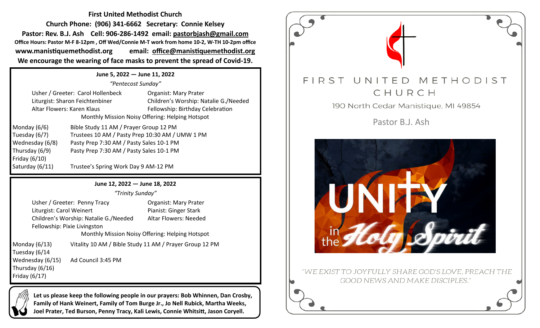**First United Methodist Church Church Phone: (906) 341-6662 Secretary: Connie Kelsey Pastor: Rev. B.J. Ash Cell: 906-286-1492 email: pastorbjash@gmail.com Office Hours: Pastor M-F 8-12pm , Off Wed/Connie M-T work from home 10-2, W-TH 10-2pm office www.manistiquemethodist.org email: office@manistiquemethodist.org We encourage the wearing of face masks to prevent the spread of Covid-19.**

**June 5, 2022 — June 11, 2022** *"Pentecost Sunday"* Usher / Greeter: Carol Hollenbeck Organist: Mary Prater Liturgist: Sharon Feichtenbiner Children's Worship: Natalie G./Needed Altar Flowers: Karen Klaus Fellowship: Birthday Celebration Monthly Mission Noisy Offering: Helping Hotspot Monday (6/6) Bible Study 11 AM / Prayer Group 12 PM Tuesday (6/7) Trustees 10 AM / Pasty Prep 10:30 AM / UMW 1 PM

Friday (6/10)

Wednesday (6/8) Pasty Prep 7:30 AM / Pasty Sales 10-1 PM Thursday (6/9) Pasty Prep 7:30 AM / Pasty Sales 10-1 PM

Saturday (6/11) Trustee's Spring Work Day 9 AM-12 PM

## **June 12, 2022 — June 18, 2022**

*"Trinity Sunday"*

Usher / Greeter: Penny Tracy **Canadian Contract Contract** Organist: Mary Prater Liturgist: Carol Weinert Pianist: Ginger Stark Children's Worship: Natalie G./Needed Altar Flowers: Needed Fellowship: Pixie Livingston

Monthly Mission Noisy Offering: Helping Hotspot

Monday (6/13) Vitality 10 AM / Bible Study 11 AM / Prayer Group 12 PM Tuesday (6/14 Wednesday (6/15) Ad Council 3:45 PM Thursday (6/16) Friday (6/17)

**Let us please keep the following people in our prayers: Bob Whinnen, Dan Crosby, Family of Hank Weinert, Family of Tom Burge Jr., Jo Nell Rubick, Martha Weeks, Joel Prater, Ted Burson, Penny Tracy, Kali Lewis, Connie Whitsitt, Jason Coryell.**